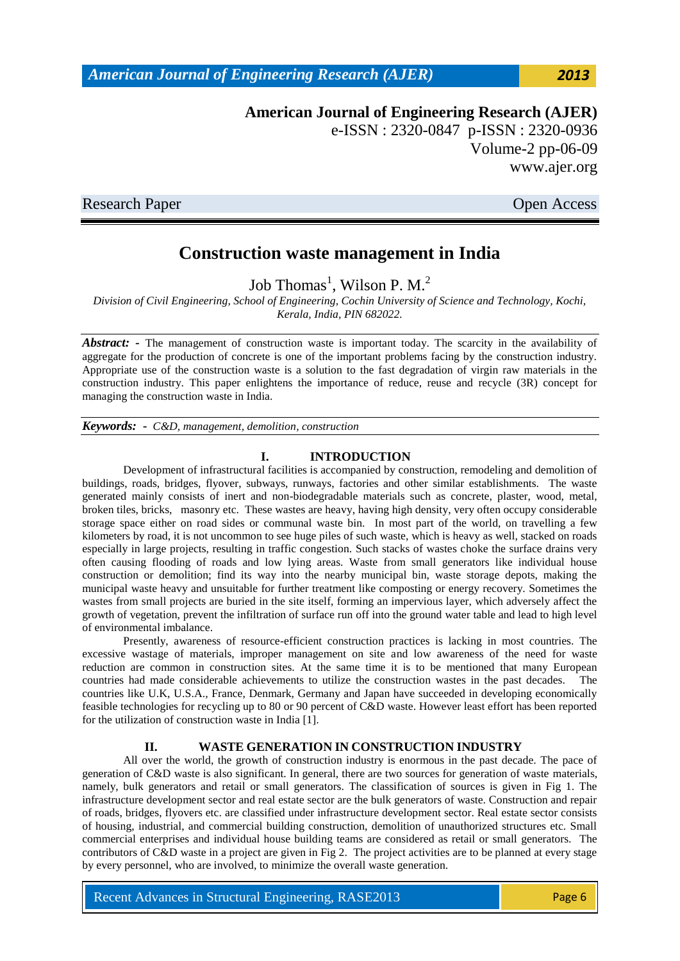*American Journal of Engineering Research (AJER) 2013*

**American Journal of Engineering Research (AJER)** e-ISSN : 2320-0847 p-ISSN : 2320-0936 Volume-2 pp-06-09 www.ajer.org

Research Paper **Open Access** 

# **Construction waste management in India**

Job Thomas<sup>1</sup>, Wilson P. M.<sup>2</sup>

*Division of Civil Engineering, School of Engineering, Cochin University of Science and Technology, Kochi, Kerala, India, PIN 682022.* 

Abstract: - The management of construction waste is important today. The scarcity in the availability of aggregate for the production of concrete is one of the important problems facing by the construction industry. Appropriate use of the construction waste is a solution to the fast degradation of virgin raw materials in the construction industry. This paper enlightens the importance of reduce, reuse and recycle (3R) concept for managing the construction waste in India.

*Keywords: - C&D, management, demolition, construction*

#### **I. INTRODUCTION**

Development of infrastructural facilities is accompanied by construction, remodeling and demolition of buildings, roads, bridges, flyover, subways, runways, factories and other similar establishments. The waste generated mainly consists of inert and non-biodegradable materials such as concrete, plaster, wood, metal, broken tiles, bricks, masonry etc. These wastes are heavy, having high density, very often occupy considerable storage space either on road sides or communal waste bin. In most part of the world, on travelling a few kilometers by road, it is not uncommon to see huge piles of such waste, which is heavy as well, stacked on roads especially in large projects, resulting in traffic congestion. Such stacks of wastes choke the surface drains very often causing flooding of roads and low lying areas. Waste from small generators like individual house construction or demolition; find its way into the nearby municipal bin, waste storage depots, making the municipal waste heavy and unsuitable for further treatment like composting or energy recovery. Sometimes the wastes from small projects are buried in the site itself, forming an impervious layer, which adversely affect the growth of vegetation, prevent the infiltration of surface run off into the ground water table and lead to high level of environmental imbalance.

Presently, awareness of resource-efficient construction practices is lacking in most countries. The excessive wastage of materials, improper management on site and low awareness of the need for waste reduction are common in construction sites. At the same time it is to be mentioned that many European countries had made considerable achievements to utilize the construction wastes in the past decades. The countries like U.K, U.S.A., France, Denmark, Germany and Japan have succeeded in developing economically feasible technologies for recycling up to 80 or 90 percent of C&D waste. However least effort has been reported for the utilization of construction waste in India [1].

#### **II. WASTE GENERATION IN CONSTRUCTION INDUSTRY**

All over the world, the growth of construction industry is enormous in the past decade. The pace of generation of C&D waste is also significant. In general, there are two sources for generation of waste materials, namely, bulk generators and retail or small generators. The classification of sources is given in Fig 1. The infrastructure development sector and real estate sector are the bulk generators of waste. Construction and repair of roads, bridges, flyovers etc. are classified under infrastructure development sector. Real estate sector consists of housing, industrial, and commercial building construction, demolition of unauthorized structures etc. Small commercial enterprises and individual house building teams are considered as retail or small generators. The contributors of C&D waste in a project are given in Fig 2. The project activities are to be planned at every stage by every personnel, who are involved, to minimize the overall waste generation.

Recent Advances in Structural Engineering, RASE2013 Page 6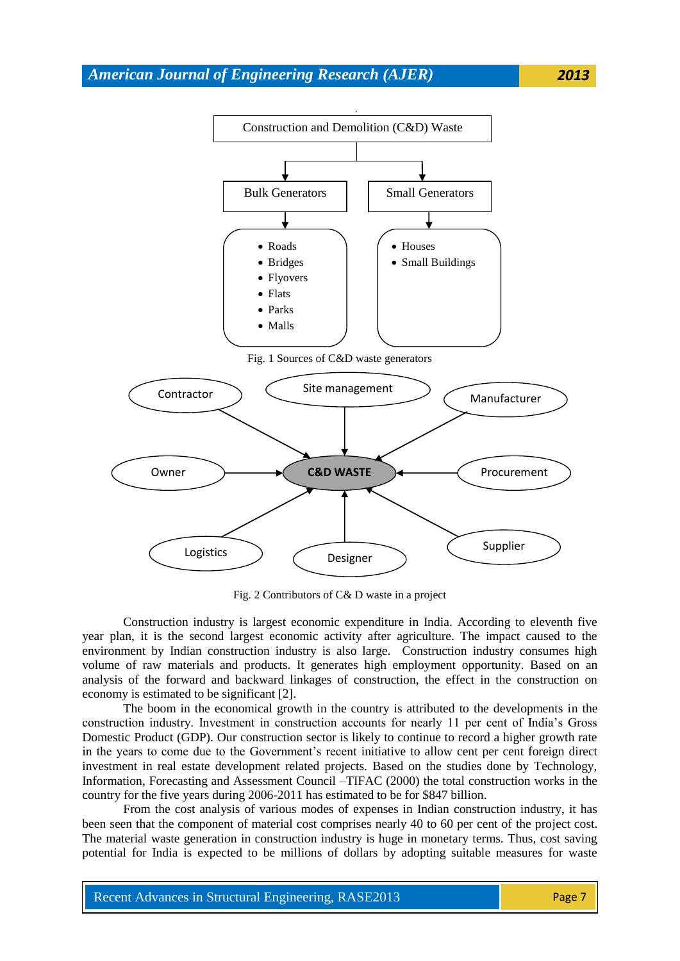

Fig. 2 Contributors of C& D waste in a project

Construction industry is largest economic expenditure in India. According to eleventh five year plan, it is the second largest economic activity after agriculture. The impact caused to the environment by Indian construction industry is also large. Construction industry consumes high volume of raw materials and products. It generates high employment opportunity. Based on an analysis of the forward and backward linkages of construction, the effect in the construction on economy is estimated to be significant [2].

The boom in the economical growth in the country is attributed to the developments in the construction industry. Investment in construction accounts for nearly 11 per cent of India"s Gross Domestic Product (GDP). Our construction sector is likely to continue to record a higher growth rate in the years to come due to the Government's recent initiative to allow cent per cent foreign direct investment in real estate development related projects. Based on the studies done by Technology, Information, Forecasting and Assessment Council –TIFAC (2000) the total construction works in the country for the five years during 2006-2011 has estimated to be for \$847 billion.

From the cost analysis of various modes of expenses in Indian construction industry, it has been seen that the component of material cost comprises nearly 40 to 60 per cent of the project cost. The material waste generation in construction industry is huge in monetary terms. Thus, cost saving potential for India is expected to be millions of dollars by adopting suitable measures for waste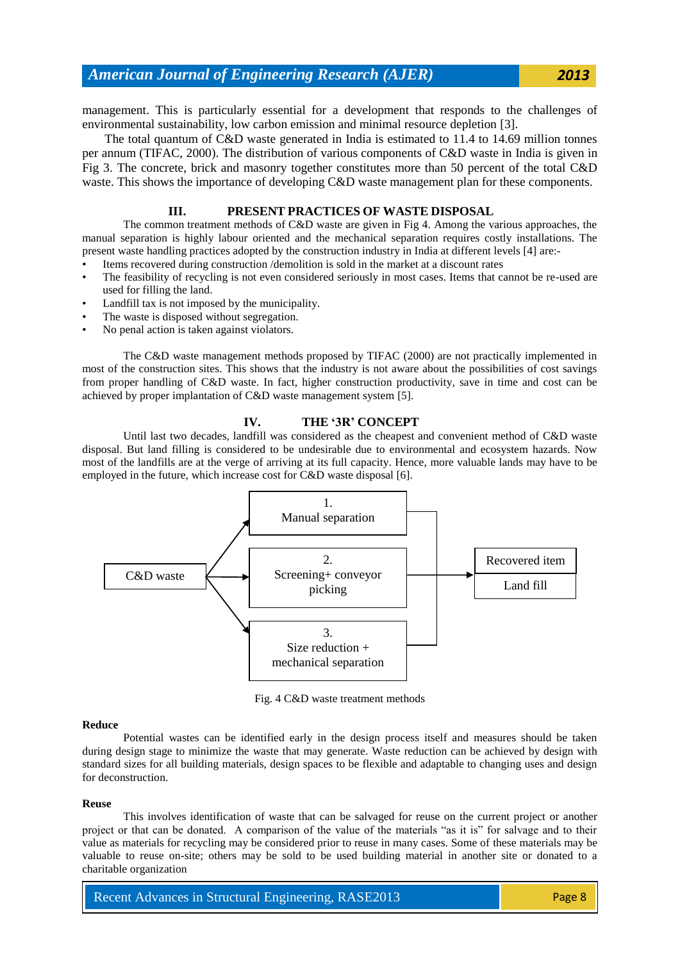## *American Journal of Engineering Research (AJER) 2013*

management. This is particularly essential for a development that responds to the challenges of environmental sustainability, low carbon emission and minimal resource depletion [3].

 The total quantum of C&D waste generated in India is estimated to 11.4 to 14.69 million tonnes per annum (TIFAC, 2000). The distribution of various components of C&D waste in India is given in Fig 3. The concrete, brick and masonry together constitutes more than 50 percent of the total C&D waste. This shows the importance of developing C&D waste management plan for these components.

### **III. PRESENT PRACTICES OF WASTE DISPOSAL**

The common treatment methods of C&D waste are given in Fig 4. Among the various approaches, the manual separation is highly labour oriented and the mechanical separation requires costly installations. The present waste handling practices adopted by the construction industry in India at different levels [4] are:-

- Items recovered during construction /demolition is sold in the market at a discount rates
- The feasibility of recycling is not even considered seriously in most cases. Items that cannot be re-used are used for filling the land.
- Landfill tax is not imposed by the municipality.
- The waste is disposed without segregation.
- No penal action is taken against violators.

The C&D waste management methods proposed by TIFAC (2000) are not practically implemented in most of the construction sites. This shows that the industry is not aware about the possibilities of cost savings from proper handling of C&D waste. In fact, higher construction productivity, save in time and cost can be achieved by proper implantation of C&D waste management system [5].

#### **IV. THE '3R' CONCEPT**

Until last two decades, landfill was considered as the cheapest and convenient method of C&D waste disposal. But land filling is considered to be undesirable due to environmental and ecosystem hazards. Now most of the landfills are at the verge of arriving at its full capacity. Hence, more valuable lands may have to be employed in the future, which increase cost for C&D waste disposal [6].



Fig. 4 C&D waste treatment methods

#### **Reduce**

Potential wastes can be identified early in the design process itself and measures should be taken during design stage to minimize the waste that may generate. Waste reduction can be achieved by design with standard sizes for all building materials, design spaces to be flexible and adaptable to changing uses and design for deconstruction.

#### **Reuse**

This involves identification of waste that can be salvaged for reuse on the current project or another project or that can be donated. A comparison of the value of the materials "as it is" for salvage and to their value as materials for recycling may be considered prior to reuse in many cases. Some of these materials may be valuable to reuse on-site; others may be sold to be used building material in another site or donated to a charitable organization

Recent Advances in Structural Engineering, RASE2013 Page 8